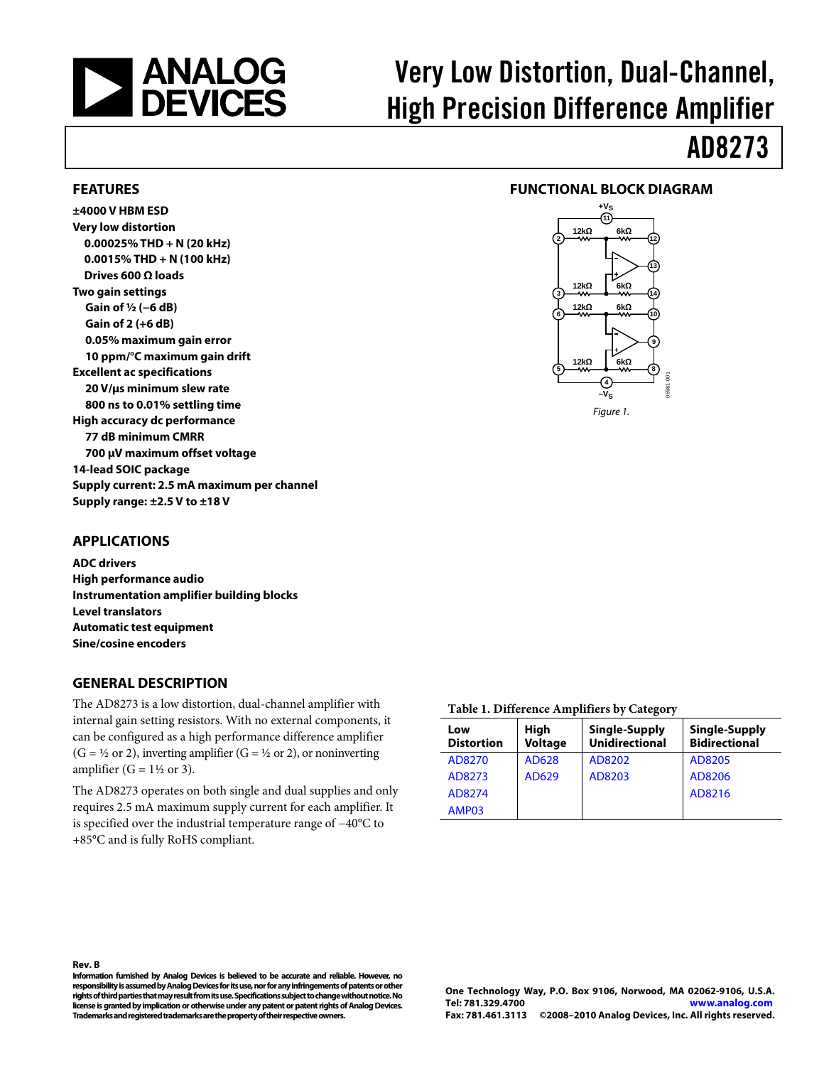<span id="page-0-0"></span>

# Very Low Distortion, Dual-Channel, High Precision Difference Amplifier

# AD8273

#### **FEATURES**

**±4000 V HBM ESD Very low distortion 0.00025% THD + N (20 kHz) 0.0015% THD + N (100 kHz) Drives 600 Ω loads Two gain settings Gain of ½ (−6 dB) Gain of 2 (+6 dB) 0.05% maximum gain error 10 ppm/°C maximum gain drift Excellent ac specifications 20 V/μs minimum slew rate 800 ns to 0.01% settling time High accuracy dc performance 77 dB minimum CMRR 700 μV maximum offset voltage 14-lead SOIC package Supply current: 2.5 mA maximum per channel Supply range: ±2.5 V to ±18 V** 

### **FUNCTIONAL BLOCK DIAGRAM**



#### Figure 1.

#### **APPLICATIONS**

**ADC drivers High performance audio Instrumentation amplifier building blocks Level translators Automatic test equipment Sine/cosine encoders** 

#### **GENERAL DESCRIPTION**

The AD8273 is a low distortion, dual-channel amplifier with internal gain setting resistors. With no external components, it can be configured as a high performance difference amplifier  $(G = \frac{1}{2}$  or 2), inverting amplifier  $(G = \frac{1}{2}$  or 2), or noninverting amplifier ( $G = 1\frac{1}{2}$  or 3).

The AD8273 operates on both single and dual supplies and only requires 2.5 mA maximum supply current for each amplifier. It is specified over the industrial temperature range of −40°C to +85°C and is fully RoHS compliant.

#### **Table 1. Difference Amplifiers by Category**

| Low<br><b>Distortion</b> | <b>High</b><br><b>Voltage</b> | Single-Supply<br><b>Unidirectional</b> | Single-Supply<br><b>Bidirectional</b> |
|--------------------------|-------------------------------|----------------------------------------|---------------------------------------|
| AD8270                   | AD628                         | AD8202                                 | AD8205                                |
| AD8273                   | AD629                         | AD8203                                 | AD8206                                |
| AD8274                   |                               |                                        | AD8216                                |
| AMP03                    |                               |                                        |                                       |

**Information furnished by Analog Devices is believed to be accurate and reliable. However, no responsibility is assumed by Analog Devices for its use, nor for any infringements of patents or other rights of third parties that may result from its use. Specifications subject to change without notice. No license is granted by implication or otherwise under any patent or patent rights of Analog Devices. Trademarks and registered trademarks are the property of their respective owners.** 

**One Technology Way, P.O. Box 9106, Norwood, MA 02062-9106, U.S.A. Tel: 781.329.4700 www.analog.com Fax: 781.461.3113 ©2008–2010 Analog Devices, Inc. All rights reserved.**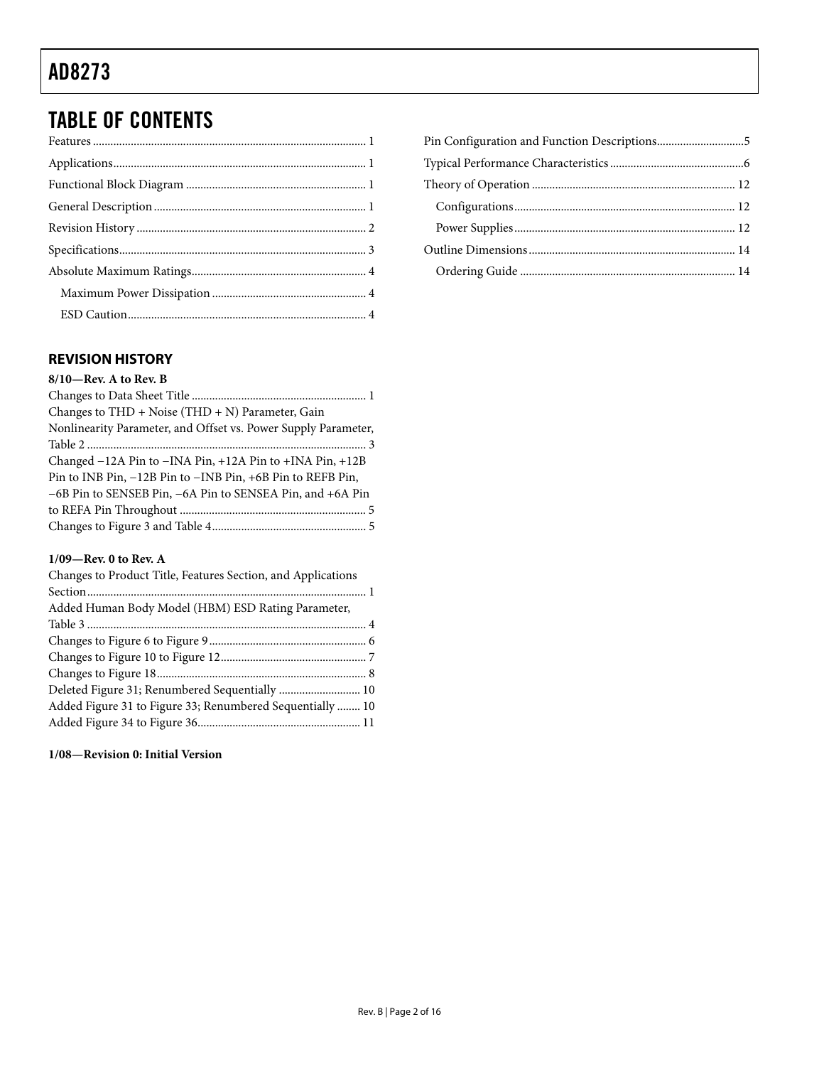# <span id="page-1-0"></span>TABLE OF CONTENTS

### **REVISION HISTORY**

### **1/09—Rev. 0 to Rev. A**

| Changes to Product Title, Features Section, and Applications |  |
|--------------------------------------------------------------|--|
|                                                              |  |
| Added Human Body Model (HBM) ESD Rating Parameter,           |  |
|                                                              |  |
|                                                              |  |
|                                                              |  |
|                                                              |  |
| Deleted Figure 31; Renumbered Sequentially  10               |  |
| Added Figure 31 to Figure 33; Renumbered Sequentially  10    |  |
|                                                              |  |

### **1/08—Revision 0: Initial Version**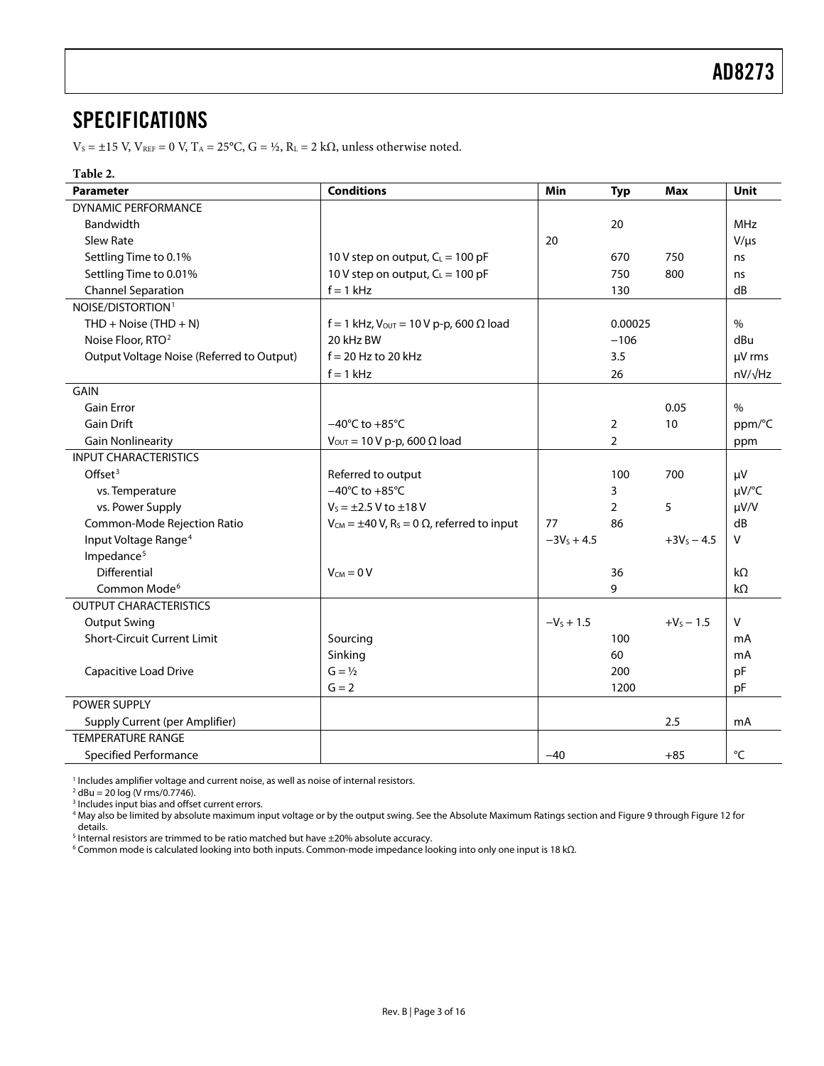### <span id="page-2-0"></span>SPECIFICATIONS

 $V_S = \pm 15$  V,  $V_{REF} = 0$  V,  $T_A = 25$ °C,  $G = \frac{1}{2}$ ,  $R_L = 2$  k $\Omega$ , unless otherwise noted.

#### **Table 2.**

| <b>Parameter</b>                          | <b>Conditions</b>                                                     | Min          | <b>Typ</b>     | <b>Max</b>    | <b>Unit</b>    |
|-------------------------------------------|-----------------------------------------------------------------------|--------------|----------------|---------------|----------------|
| <b>DYNAMIC PERFORMANCE</b>                |                                                                       |              |                |               |                |
| <b>Bandwidth</b>                          |                                                                       |              | 20             |               | <b>MHz</b>     |
| Slew Rate                                 |                                                                       | 20           |                |               | $V/\mu s$      |
| Settling Time to 0.1%                     | 10 V step on output, $C_L = 100$ pF                                   |              | 670            | 750           | ns             |
| Settling Time to 0.01%                    | 10 V step on output, $C_L = 100$ pF                                   |              | 750            | 800           | ns             |
| <b>Channel Separation</b>                 | $f = 1$ kHz                                                           |              | 130            |               | dB             |
| NOISE/DISTORTION <sup>1</sup>             |                                                                       |              |                |               |                |
| THD + Noise (THD + N)                     | $f = 1$ kHz, V <sub>OUT</sub> = 10 V p-p, 600 Ω load                  |              | 0.00025        |               | $\%$           |
| Noise Floor, RTO <sup>2</sup>             | 20 kHz BW                                                             |              | $-106$         |               | dBu            |
| Output Voltage Noise (Referred to Output) | $f = 20$ Hz to 20 kHz                                                 |              | 3.5            |               | µV rms         |
|                                           | $f = 1$ kHz                                                           |              | 26             |               | $nV/\sqrt{Hz}$ |
| <b>GAIN</b>                               |                                                                       |              |                |               |                |
| <b>Gain Error</b>                         |                                                                       |              |                | 0.05          | $\%$           |
| <b>Gain Drift</b>                         | $-40^{\circ}$ C to $+85^{\circ}$ C                                    |              | $\overline{2}$ | 10            | ppm/°C         |
| <b>Gain Nonlinearity</b>                  | $V_{\text{OUT}} = 10 V p-p$ , 600 $\Omega$ load                       |              | $\overline{2}$ |               | ppm            |
| <b>INPUT CHARACTERISTICS</b>              |                                                                       |              |                |               |                |
| Offset $3$                                | Referred to output                                                    |              | 100            | 700           | μV             |
| vs. Temperature                           | $-40^{\circ}$ C to $+85^{\circ}$ C                                    |              | 3              |               | µV/°C          |
| vs. Power Supply                          | $V_s = \pm 2.5 V$ to $\pm 18 V$                                       |              | $\overline{2}$ | 5             | $\mu V/V$      |
| Common-Mode Rejection Ratio               | $V_{CM} = \pm 40 V$ , R <sub>s</sub> = 0 $\Omega$ , referred to input | 77           | 86             |               | dB             |
| Input Voltage Range <sup>4</sup>          |                                                                       | $-3Vs + 4.5$ |                | $+3V_5 - 4.5$ | V              |
| Impedance <sup>5</sup>                    |                                                                       |              |                |               |                |
| Differential                              | $V_{CM} = 0 V$                                                        |              | 36             |               | kΩ             |
| Common Mode <sup>6</sup>                  |                                                                       |              | 9              |               | $k\Omega$      |
| <b>OUTPUT CHARACTERISTICS</b>             |                                                                       |              |                |               |                |
| <b>Output Swing</b>                       |                                                                       | $-V_s + 1.5$ |                | $+V_5 - 1.5$  | V              |
| <b>Short-Circuit Current Limit</b>        | Sourcing                                                              |              | 100            |               | mA             |
|                                           | Sinking                                                               |              | 60             |               | mA             |
| Capacitive Load Drive                     | $G = \frac{1}{2}$                                                     |              | 200            |               | pF             |
|                                           | $G = 2$                                                               |              | 1200           |               | pF             |
| POWER SUPPLY                              |                                                                       |              |                |               |                |
| <b>Supply Current (per Amplifier)</b>     |                                                                       |              |                | 2.5           | mA             |
| <b>TEMPERATURE RANGE</b>                  |                                                                       |              |                |               |                |
| Specified Performance                     |                                                                       | $-40$        |                | $+85$         | $^{\circ}$ C   |

<sup>1</sup> Includes amplifier voltage and current noise, as well as noise of internal resistors.<br><sup>2</sup> dBu – 20 log (V rms/0 7746)

 $^{2}$  dBu = 20 log (V rms/0.7746).

<sup>5</sup> Internal resistors are trimmed to be ratio matched but have ±20% absolute accuracy.<br><sup>6</sup> Common mode is calculated looking into both inputs. Common-mode impedance lo

Common mode is calculated looking into both inputs. Common-mode impedance looking into only one input is 18 kΩ.

<sup>&</sup>lt;sup>3</sup> Includes input bias and offset current errors.<br><sup>4</sup> May also be limited by absolute maximum input voltage or by the output swing. See the Absolute Maximum Ratings section and Figure 9 through Figure 12 [f](#page-6-0)or details.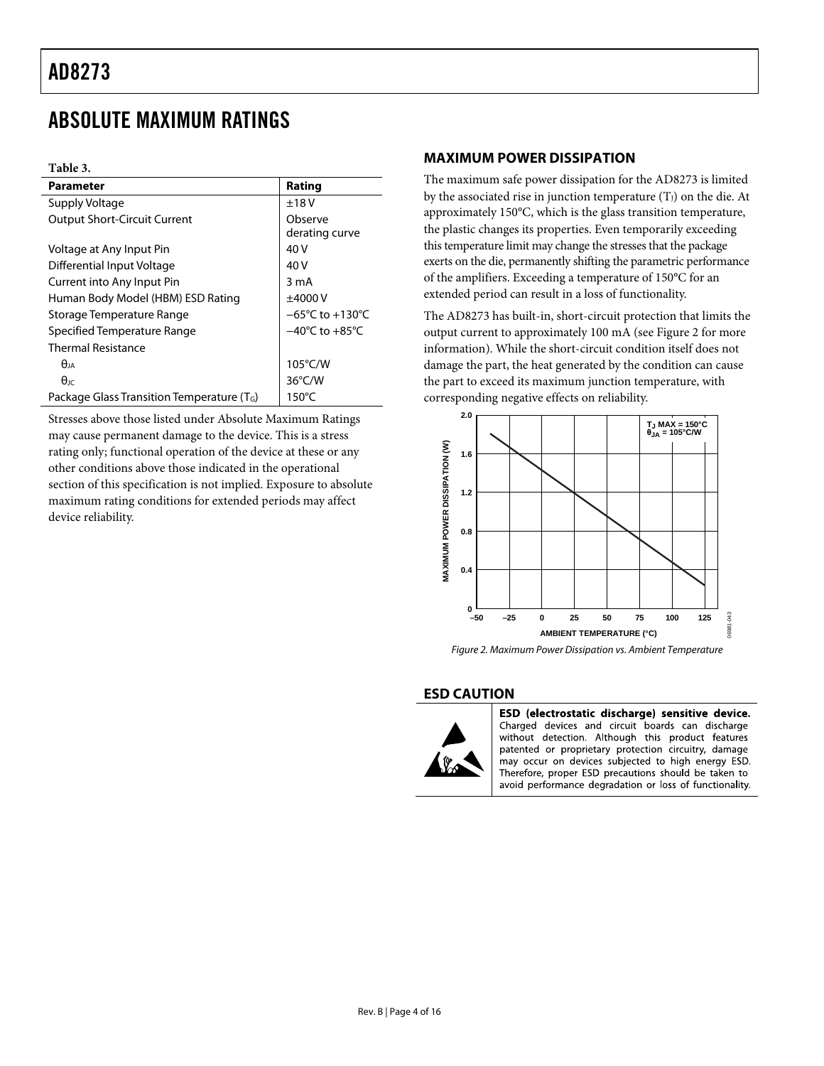### <span id="page-3-1"></span><span id="page-3-0"></span>ABSOLUTE MAXIMUM RATINGS

#### **Table 3.**

| Parameter                                      | Rating                              |
|------------------------------------------------|-------------------------------------|
| <b>Supply Voltage</b>                          | ±18V                                |
| <b>Output Short-Circuit Current</b>            | Observe<br>derating curve           |
| Voltage at Any Input Pin                       | 40 V                                |
| Differential Input Voltage                     | 40 V                                |
| Current into Any Input Pin                     | 3 mA                                |
| Human Body Model (HBM) ESD Rating              | ±4000V                              |
| Storage Temperature Range                      | $-65^{\circ}$ C to $+130^{\circ}$ C |
| Specified Temperature Range                    | $-40^{\circ}$ C to $+85^{\circ}$ C  |
| <b>Thermal Resistance</b>                      |                                     |
| $\theta_{JA}$                                  | $105^{\circ}$ C/W                   |
| $\theta$ ıc                                    | $36^{\circ}$ C/W                    |
| Package Glass Transition Temperature ( $T_G$ ) | $150^{\circ}$ C                     |

<span id="page-3-2"></span>Stresses above those listed under Absolute Maximum Ratings may cause permanent damage to the device. This is a stress rating only; functional operation of the device at these or any other conditions above those indicated in the operational section of this specification is not implied. Exposure to absolute maximum rating conditions for extended periods may affect device reliability.

#### **MAXIMUM POWER DISSIPATION**

The maximum safe power dissipation for the AD8273 is limited by the associated rise in junction temperature  $(T_J)$  on the die. At approximately 150°C, which is the glass transition temperature, the plastic changes its properties. Even temporarily exceeding this temperature limit may change the stresses that the package exerts on the die, permanently shifting the parametric performance of the amplifiers. Exceeding a temperature of 150°C for an extended period can result in a loss of functionality.

The AD8273 has built-in, short-circuit protection that limits the output current to approximately 100 mA (see [Figure 2](#page-3-2) for more information). While the short-circuit condition itself does not damage the part, the heat generated by the condition can cause the part to exceed its maximum junction temperature, with corresponding negative effects on reliability.



Figure 2. Maximum Power Dissipation vs. Ambient Temperature

#### **ESD CAUTION**



ESD (electrostatic discharge) sensitive device. Charged devices and circuit boards can discharge without detection. Although this product features patented or proprietary protection circuitry, damage may occur on devices subjected to high energy ESD. Therefore, proper ESD precautions should be taken to avoid performance degradation or loss of functionality.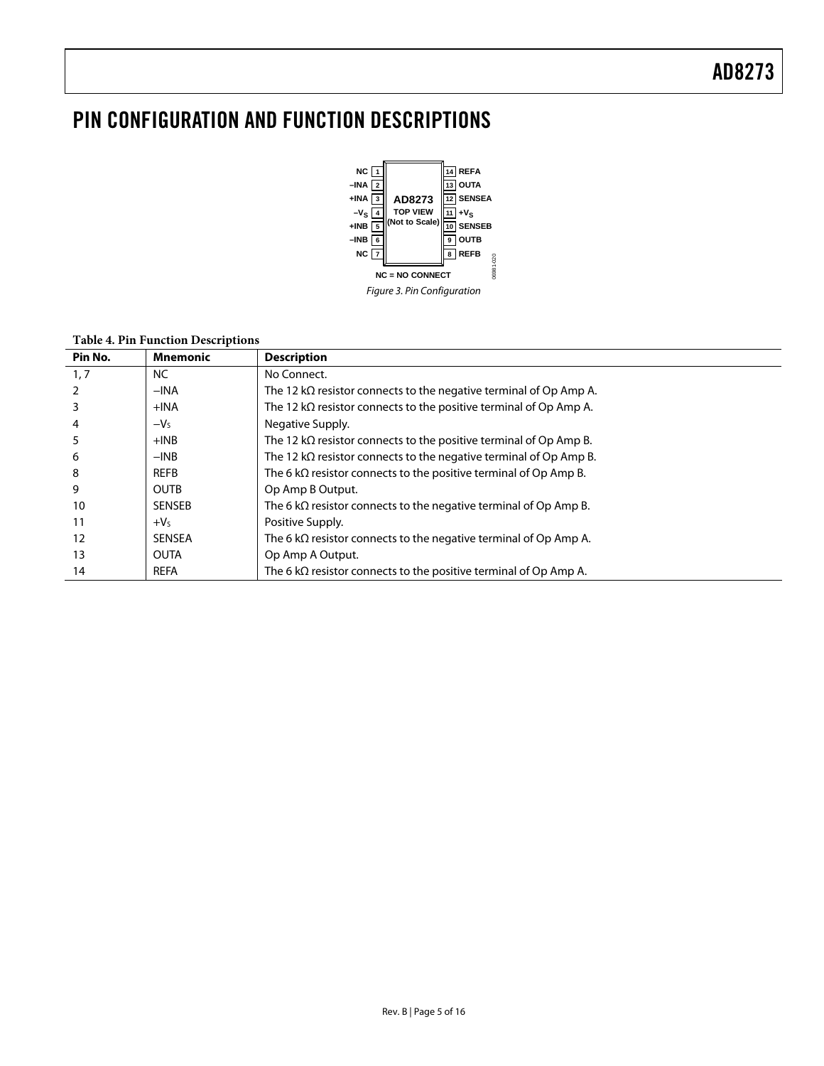## <span id="page-4-0"></span>PIN CONFIGURATION AND FUNCTION DESCRIPTIONS



#### **Table 4. Pin Function Descriptions**

| Pin No. | <b>Mnemonic</b> | <b>Description</b>                                                        |
|---------|-----------------|---------------------------------------------------------------------------|
| 1, 7    | NC.             | No Connect.                                                               |
|         | $-INA$          | The 12 k $\Omega$ resistor connects to the negative terminal of Op Amp A. |
|         | $+IMA$          | The 12 $k\Omega$ resistor connects to the positive terminal of Op Amp A.  |
|         | $-Vs$           | Negative Supply.                                                          |
|         | $+INB$          | The 12 k $\Omega$ resistor connects to the positive terminal of Op Amp B. |
| ь       | $-INB$          | The 12 $k\Omega$ resistor connects to the negative terminal of Op Amp B.  |
| 8       | <b>REFB</b>     | The 6 $k\Omega$ resistor connects to the positive terminal of Op Amp B.   |
| 9       | <b>OUTB</b>     | Op Amp B Output.                                                          |
| 10      | <b>SENSEB</b>   | The 6 $k\Omega$ resistor connects to the negative terminal of Op Amp B.   |
| 11      | $+VS$           | Positive Supply.                                                          |
| 12      | <b>SENSEA</b>   | The 6 $k\Omega$ resistor connects to the negative terminal of Op Amp A.   |
| 13      | <b>OUTA</b>     | Op Amp A Output.                                                          |
| 14      | <b>REFA</b>     | The 6 $k\Omega$ resistor connects to the positive terminal of Op Amp A.   |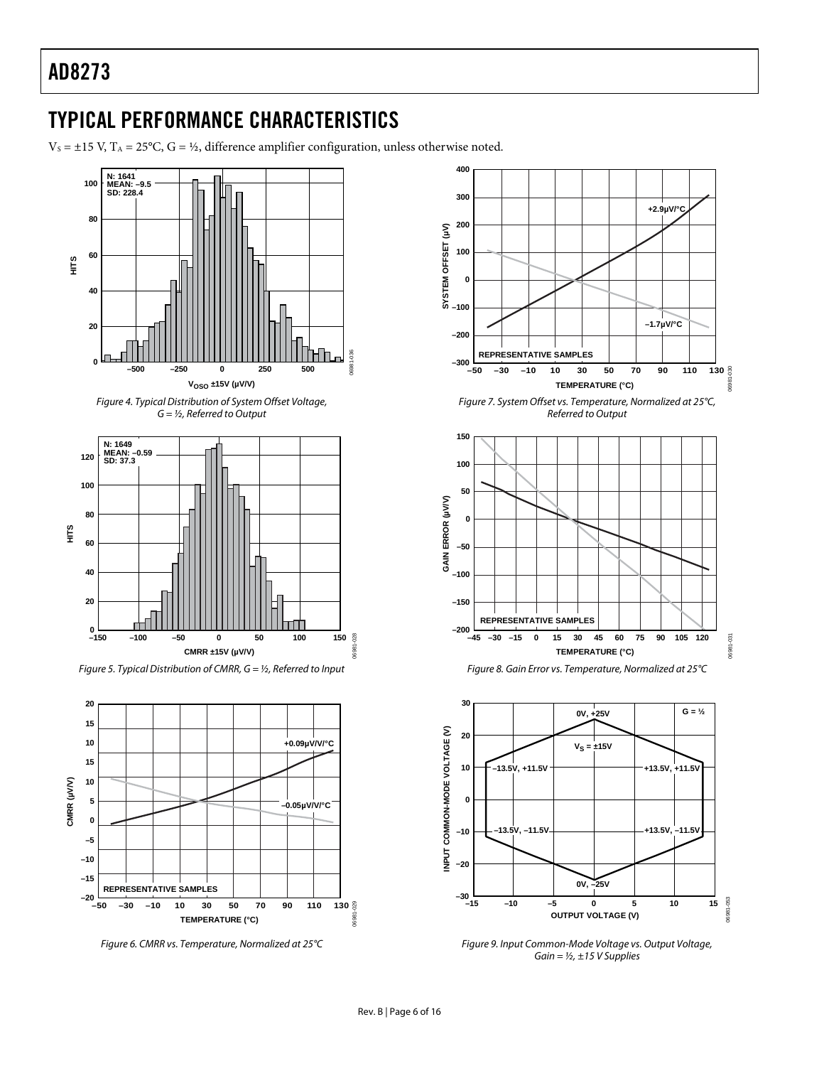### <span id="page-5-1"></span><span id="page-5-0"></span>TYPICAL PERFORMANCE CHARACTERISTICS

 $V_s = \pm 15$  V, T<sub>A</sub> = 25°C, G = ½, difference amplifier configuration, unless otherwise noted.







Figure 5. Typical Distribution of CMRR,  $G = \frac{1}{2}$ , Referred to Input



Figure 6. CMRR vs. Temperature, Normalized at 25°C



Figure 7. System Offset vs. Temperature, Normalized at 25°C, Referred to Output







Figure 9. Input Common-Mode Voltage vs. Output Voltage, Gain =  $1/2$ , ±15 V Supplies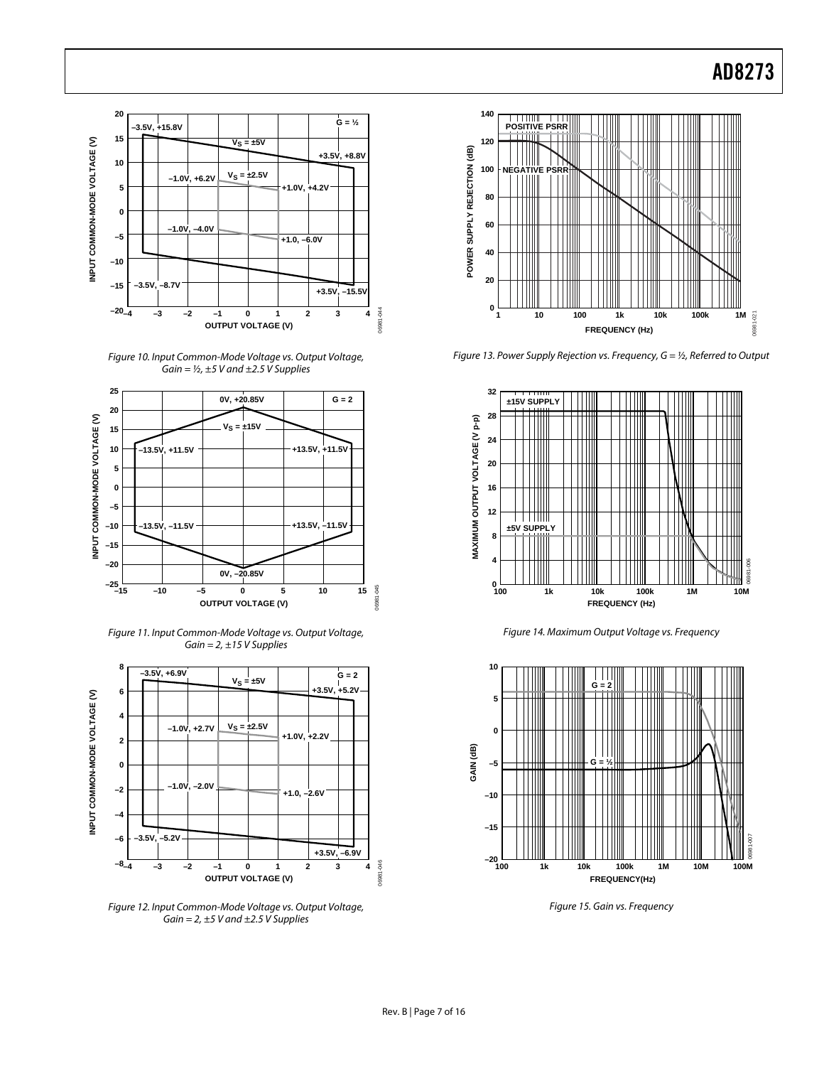<span id="page-6-0"></span>

Figure 10. Input Common-Mode Voltage vs. Output Voltage, Gain =  $\frac{1}{2}$ , ±5 V and ±2.5 V Supplies



Figure 11. Input Common-Mode Voltage vs. Output Voltage, Gain =  $2, \pm 15$  V Supplies



Figure 12. Input Common-Mode Voltage vs. Output Voltage, Gain =  $2, \pm 5$  V and  $\pm 2.5$  V Supplies



Figure 13. Power Supply Rejection vs. Frequency,  $G = \frac{1}{2}$ , Referred to Output



Figure 14. Maximum Output Voltage vs. Frequency



Figure 15. Gain vs. Frequency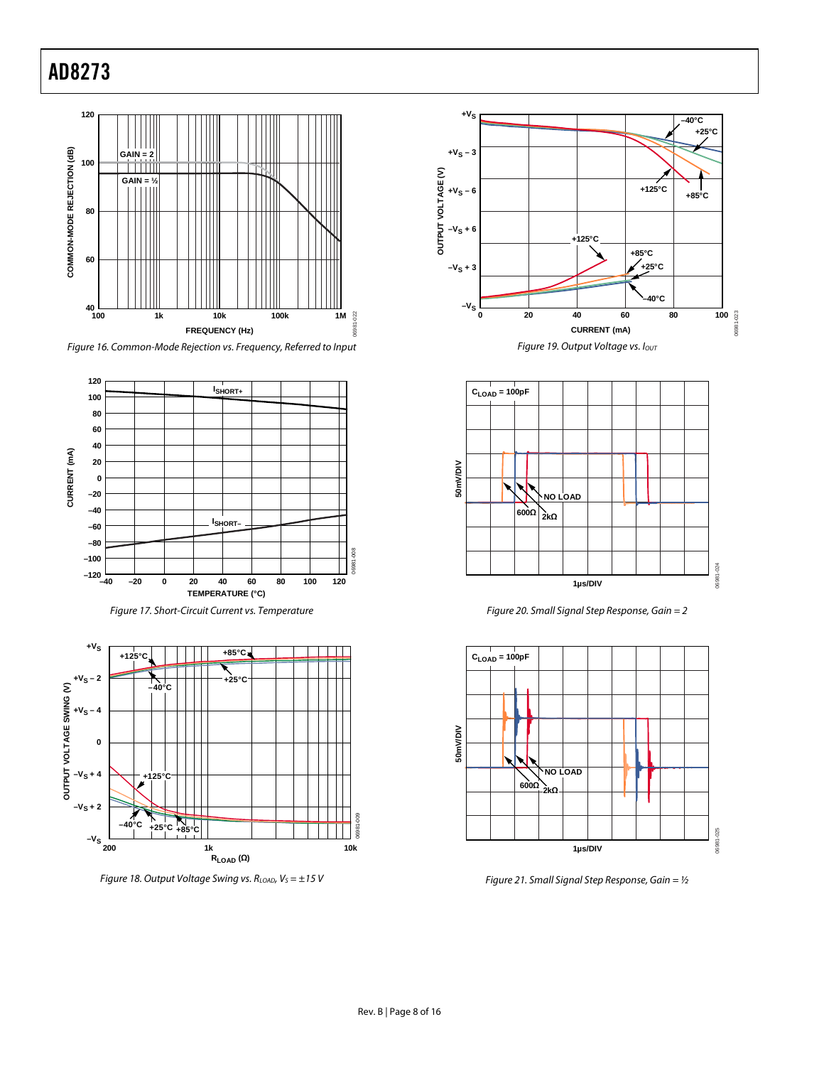









Figure 18. Output Voltage Swing vs.  $R_{LOAD}$ ,  $V_S = \pm 15$  V









Figure 21. Small Signal Step Response, Gain =  $1/2$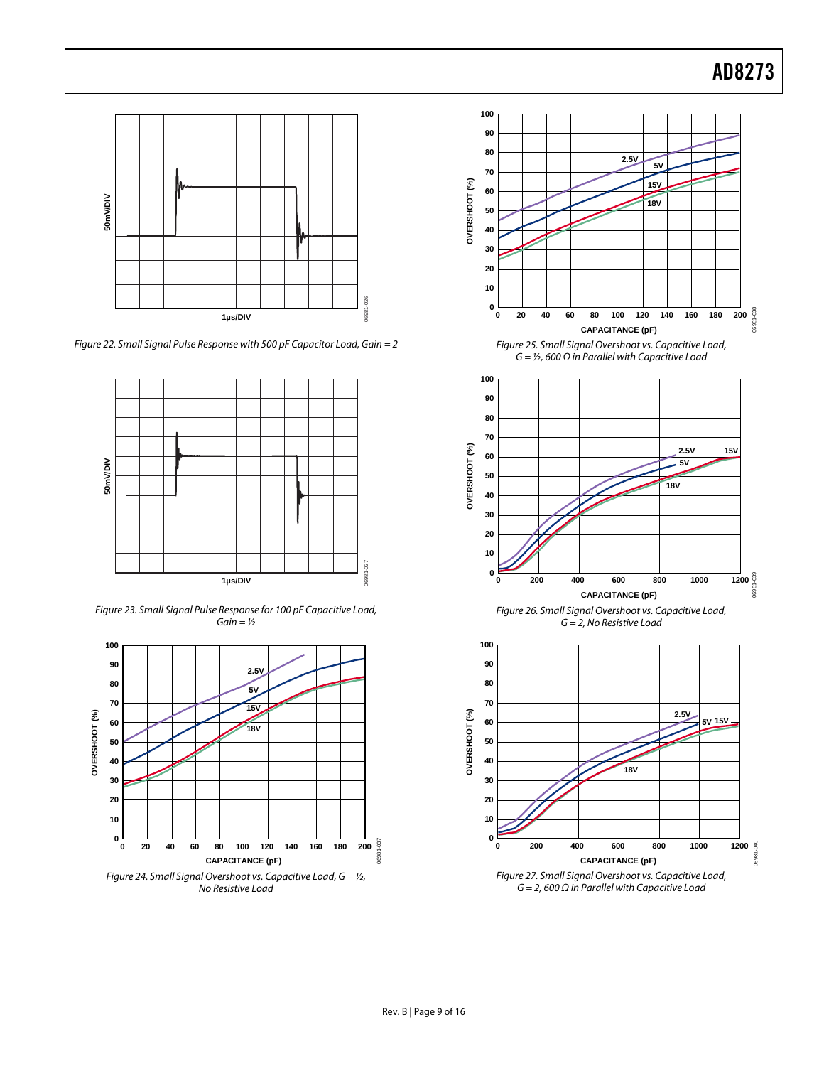

Figure 22. Small Signal Pulse Response with 500 pF Capacitor Load, Gain = 2



Figure 23. Small Signal Pulse Response for 100 pF Capacitive Load,  $Gain =$ 



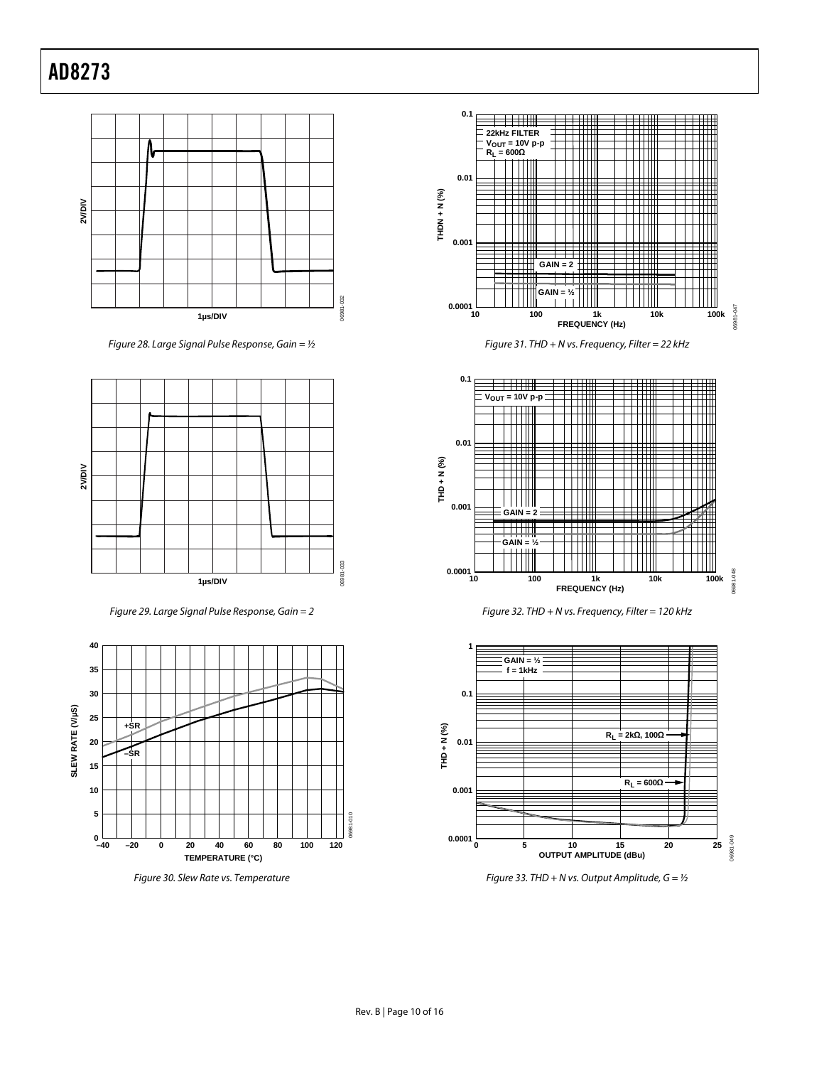

Figure 28. Large Signal Pulse Response, Gain =  $1/2$ 



Figure 29. Large Signal Pulse Response, Gain = 2







Figure 31. THD + N vs. Frequency, Filter = 22 kHz







Figure 33. THD + N vs. Output Amplitude,  $G = \frac{1}{2}$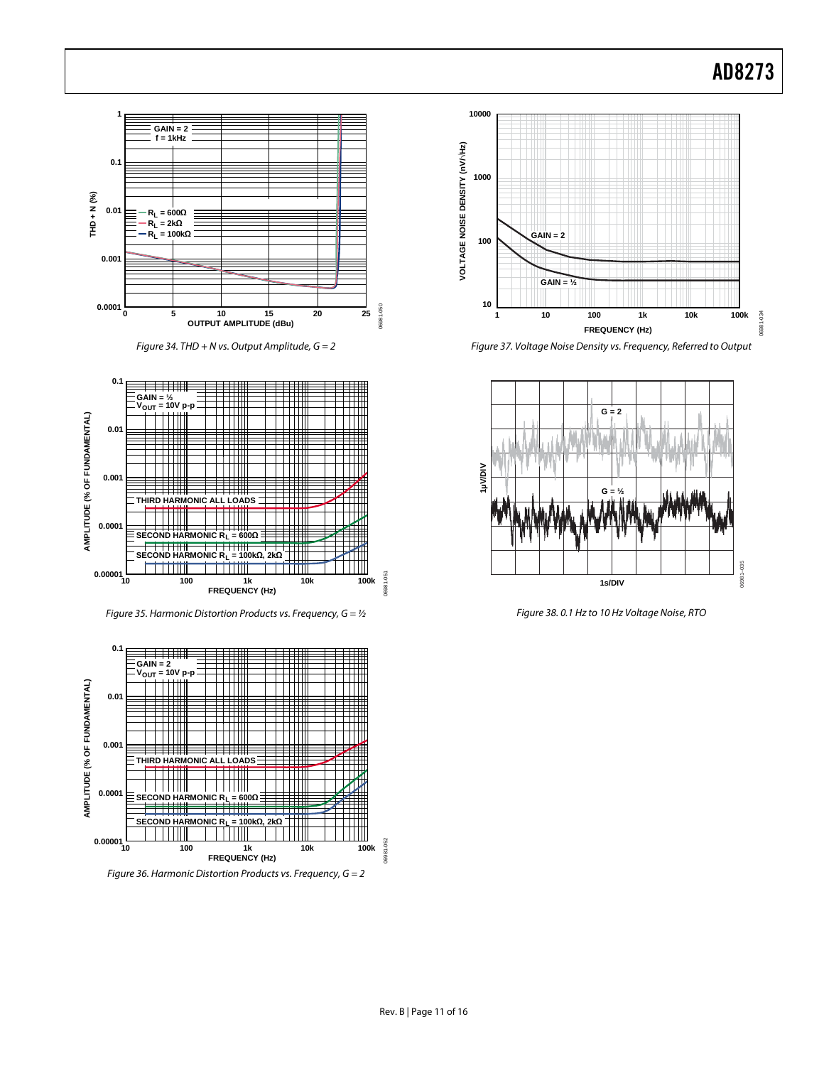

Figure 34. THD + N vs. Output Amplitude,  $G = 2$ 



Figure 35. Harmonic Distortion Products vs. Frequency,  $G = \frac{1}{2}$ 



Figure 36. Harmonic Distortion Products vs. Frequency, G = 2



Figure 37. Voltage Noise Density vs. Frequency, Referred to Output



Figure 38. 0.1 Hz to 10 Hz Voltage Noise, RTO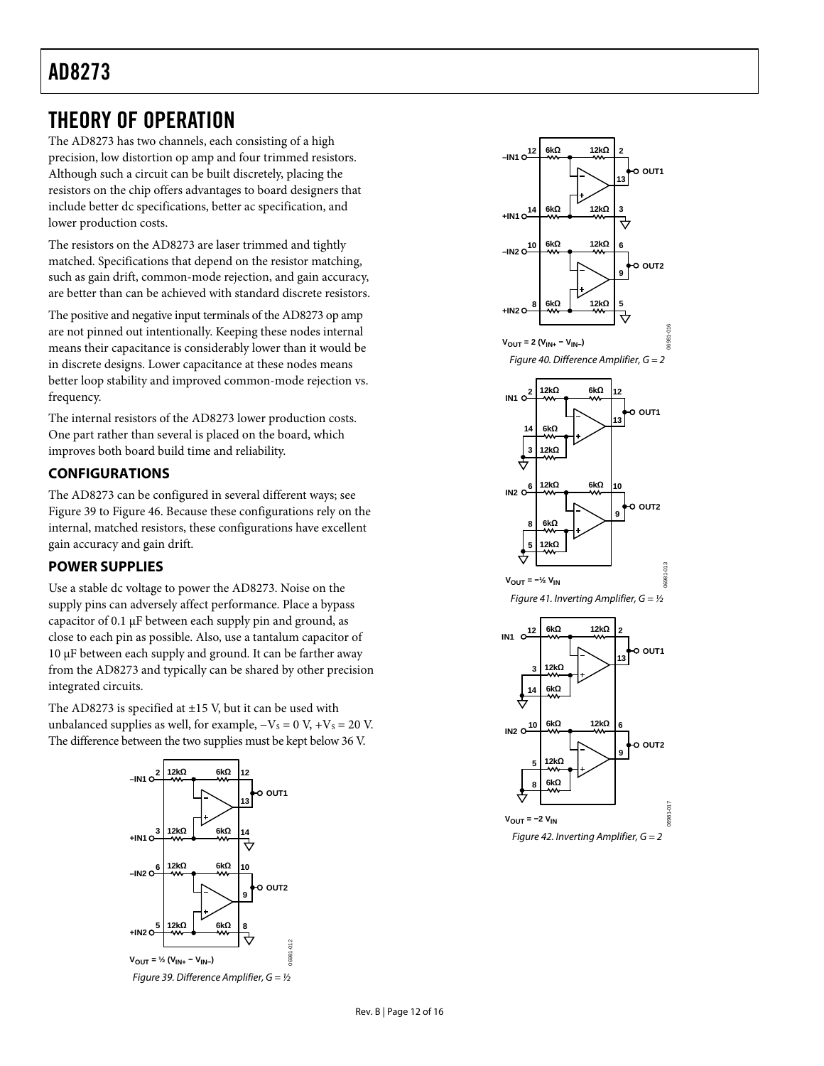### <span id="page-11-0"></span>THEORY OF OPERATION

The AD8273 has two channels, each consisting of a high precision, low distortion op amp and four trimmed resistors. Although such a circuit can be built discretely, placing the resistors on the chip offers advantages to board designers that include better dc specifications, better ac specification, and lower production costs.

The resistors on the AD8273 are laser trimmed and tightly matched. Specifications that depend on the resistor matching, such as gain drift, common-mode rejection, and gain accuracy, are better than can be achieved with standard discrete resistors.

The positive and negative input terminals of the AD8273 op amp are not pinned out intentionally. Keeping these nodes internal means their capacitance is considerably lower than it would be in discrete designs. Lower capacitance at these nodes means better loop stability and improved common-mode rejection vs. frequency.

The internal resistors of the AD8273 lower production costs. One part rather than several is placed on the board, which improves both board build time and reliability.

### **CONFIGURATIONS**

The AD8273 can be configured in several different ways; see [Figure 39](#page-11-1) to [Figure 46](#page-12-0). Because these configurations rely on the internal, matched resistors, these configurations have excellent gain accuracy and gain drift.

### **POWER SUPPLIES**

Use a stable dc voltage to power the AD8273. Noise on the supply pins can adversely affect performance. Place a bypass capacitor of 0.1 μF between each supply pin and ground, as close to each pin as possible. Also, use a tantalum capacitor of 10 μF between each supply and ground. It can be farther away from the AD8273 and typically can be shared by other precision integrated circuits.

The AD8273 is specified at  $\pm$ 15 V, but it can be used with unbalanced supplies as well, for example,  $-V<sub>S</sub> = 0$  V,  $+V<sub>S</sub> = 20$  V. The difference between the two supplies must be kept below 36 V.

<span id="page-11-1"></span>

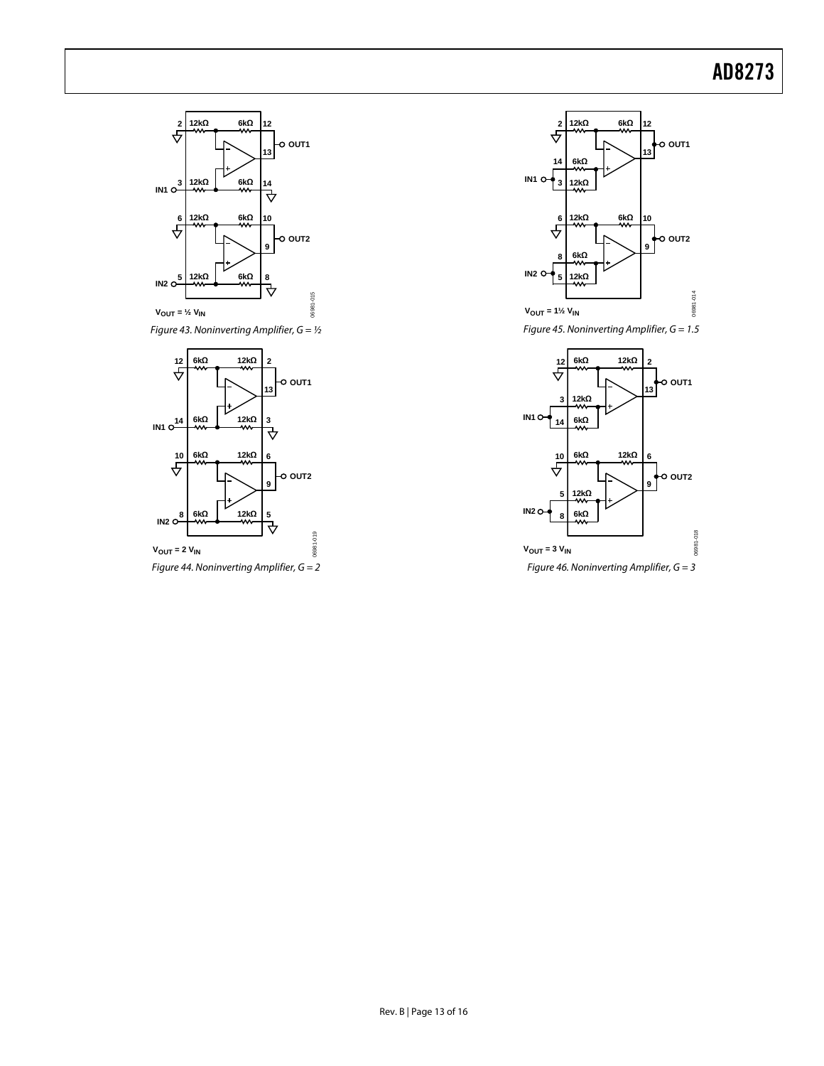





<span id="page-12-0"></span>Figure 44. Noninverting Amplifier,  $G = 2$ 





Figure 46. Noninverting Amplifier,  $G = 3$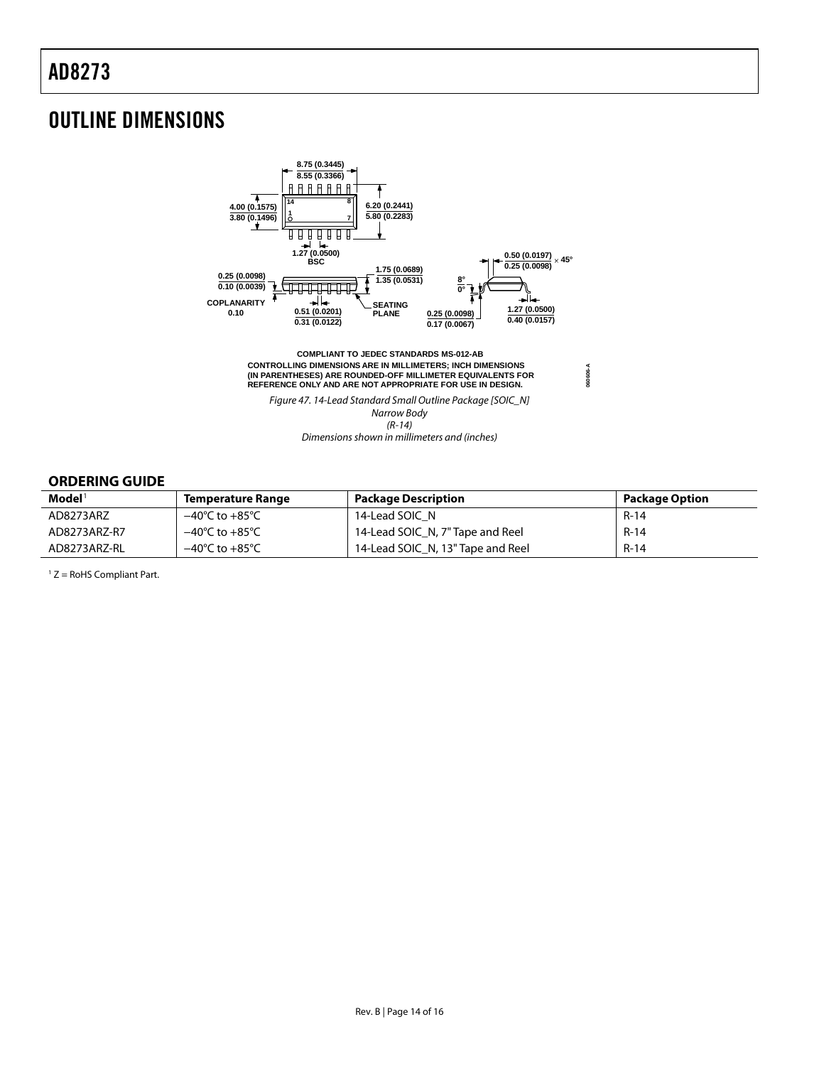### <span id="page-13-0"></span>OUTLINE DIMENSIONS



### **ORDERING GUIDE**

| $\mathbf{Model}^{\mathsf{T}}$ | <b>Temperature Range</b>           | <b>Package Description</b>        | <b>Package Option</b> |
|-------------------------------|------------------------------------|-----------------------------------|-----------------------|
| AD8273ARZ                     | –40°C to +85°C                     | 14-Lead SOIC N                    | $R-14$                |
| AD8273ARZ-R7                  | $-40^{\circ}$ C to $+85^{\circ}$ C | 14-Lead SOIC_N, 7" Tape and Reel  | $R-14$                |
| AD8273ARZ-RL                  | $-40^{\circ}$ C to $+85^{\circ}$ C | 14-Lead SOIC N, 13" Tape and Reel | $R-14$                |

 $1 Z =$  RoHS Compliant Part.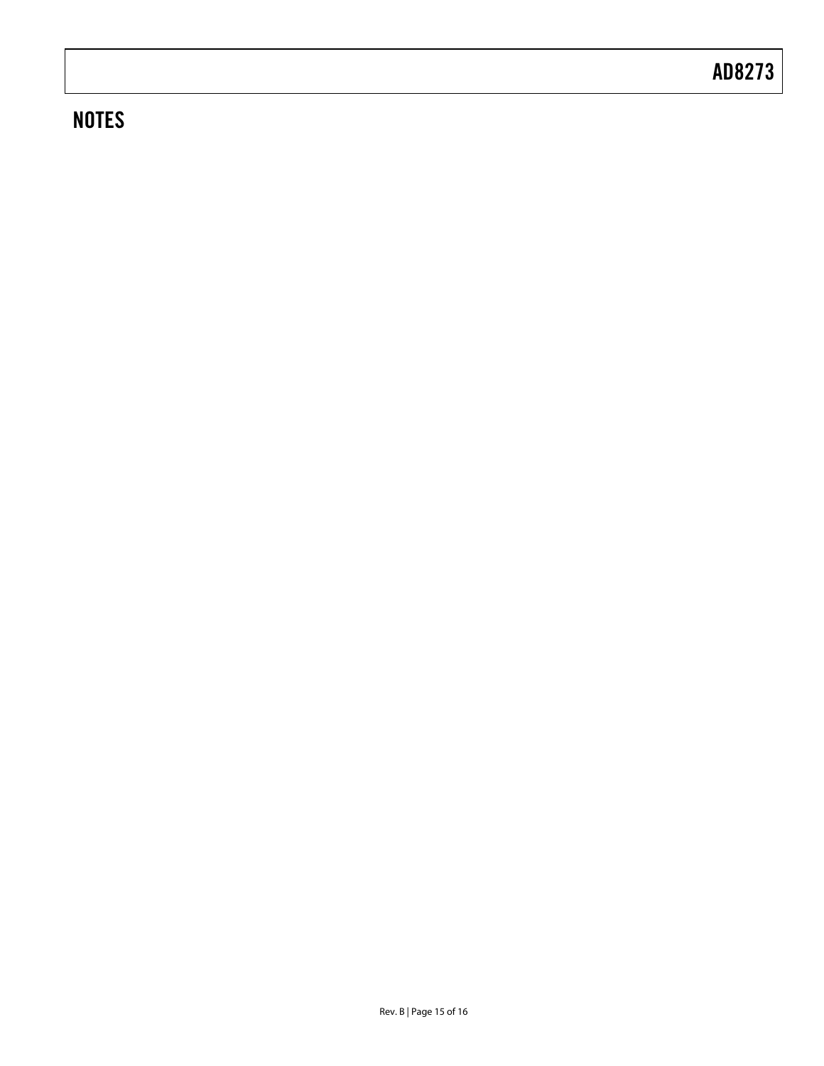## **NOTES**